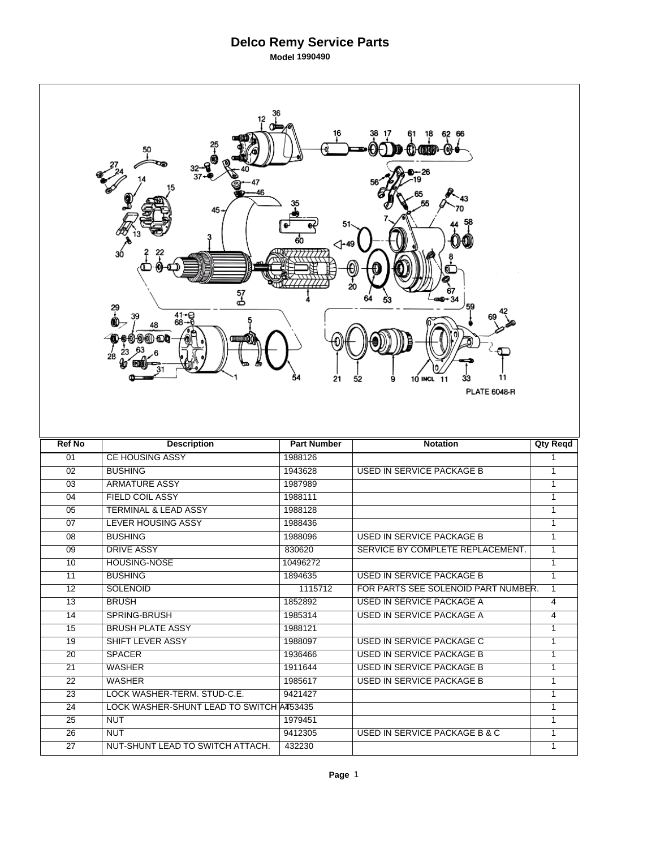## **Delco Remy Service Parts Model 1990490**

| 16<br>62<br>66<br>50<br>45<br>⊲-49<br>ЗÓ<br>57<br>ക<br>29<br>$41 - 68 - 6$<br>லை வெ<br>28<br>54<br>11<br>21<br>52<br>9<br>10 INCL 11<br>33<br><b>PLATE 6048-R</b> |                                                |                    |                                     |                 |  |  |  |
|-------------------------------------------------------------------------------------------------------------------------------------------------------------------|------------------------------------------------|--------------------|-------------------------------------|-----------------|--|--|--|
| <b>Ref No</b>                                                                                                                                                     | <b>Description</b>                             | <b>Part Number</b> | <b>Notation</b>                     | <b>Qty Reqd</b> |  |  |  |
| 01                                                                                                                                                                | <b>CE HOUSING ASSY</b>                         | 1988126            |                                     |                 |  |  |  |
| 02                                                                                                                                                                | <b>BUSHING</b>                                 | 1943628            |                                     | $\mathbf{1}$    |  |  |  |
| $\overline{03}$                                                                                                                                                   |                                                |                    | <b>USED IN SERVICE PACKAGE B</b>    | $\mathbf{1}$    |  |  |  |
|                                                                                                                                                                   | <b>ARMATURE ASSY</b>                           | 1987989            |                                     | 1               |  |  |  |
| 04                                                                                                                                                                | <b>FIELD COIL ASSY</b>                         | 1988111            |                                     | 1               |  |  |  |
| 05                                                                                                                                                                | <b>TERMINAL &amp; LEAD ASSY</b>                | 1988128            |                                     | 1               |  |  |  |
| 07                                                                                                                                                                | <b>LEVER HOUSING ASSY</b>                      | 1988436            |                                     | 1               |  |  |  |
| 08                                                                                                                                                                | <b>BUSHING</b>                                 | 1988096            | <b>USED IN SERVICE PACKAGE B</b>    | 1               |  |  |  |
| 09                                                                                                                                                                | <b>DRIVE ASSY</b>                              | 830620             | SERVICE BY COMPLETE REPLACEMENT.    | 1               |  |  |  |
| 10                                                                                                                                                                | HOUSING-NOSE                                   | 10496272           |                                     | 1               |  |  |  |
| 11                                                                                                                                                                | <b>BUSHING</b>                                 | 1894635            | USED IN SERVICE PACKAGE B           | $\mathbf{1}$    |  |  |  |
| 12                                                                                                                                                                | <b>SOLENOID</b>                                | 1115712            | FOR PARTS SEE SOLENOID PART NUMBER. | $\mathbf{1}$    |  |  |  |
| 13                                                                                                                                                                | <b>BRUSH</b>                                   | 1852892            | USED IN SERVICE PACKAGE A           | $\overline{4}$  |  |  |  |
| 14                                                                                                                                                                | SPRING-BRUSH                                   | 1985314            | USED IN SERVICE PACKAGE A           | $\overline{4}$  |  |  |  |
| 15                                                                                                                                                                | <b>BRUSH PLATE ASSY</b>                        | 1988121            |                                     | $\mathbf{1}$    |  |  |  |
| $\overline{19}$                                                                                                                                                   | SHIFT LEVER ASSY                               | 1988097            | USED IN SERVICE PACKAGE C           | $\mathbf{1}$    |  |  |  |
| 20                                                                                                                                                                | <b>SPACER</b>                                  | 1936466            | <b>USED IN SERVICE PACKAGE B</b>    | $\mathbf{1}$    |  |  |  |
| $\overline{21}$                                                                                                                                                   | <b>WASHER</b>                                  | 1911644            | USED IN SERVICE PACKAGE B           | 1               |  |  |  |
| $\overline{22}$                                                                                                                                                   | <b>WASHER</b>                                  | 1985617            | <b>USED IN SERVICE PACKAGE B</b>    | $\mathbf{1}$    |  |  |  |
| 23                                                                                                                                                                | LOCK WASHER-TERM. STUD-C.E.                    | 9421427            |                                     | 1               |  |  |  |
| 24                                                                                                                                                                | LOCK WASHER-SHUNT LEAD TO SWITCH A453435       |                    |                                     | 1               |  |  |  |
| $\overline{25}$                                                                                                                                                   | <b>NUT</b>                                     | 1979451            |                                     | $\mathbf{1}$    |  |  |  |
| 26<br>$\overline{27}$                                                                                                                                             | <b>NUT</b><br>NUT-SHUNT LEAD TO SWITCH ATTACH. | 9412305<br>432230  | USED IN SERVICE PACKAGE B & C       | 1<br>1          |  |  |  |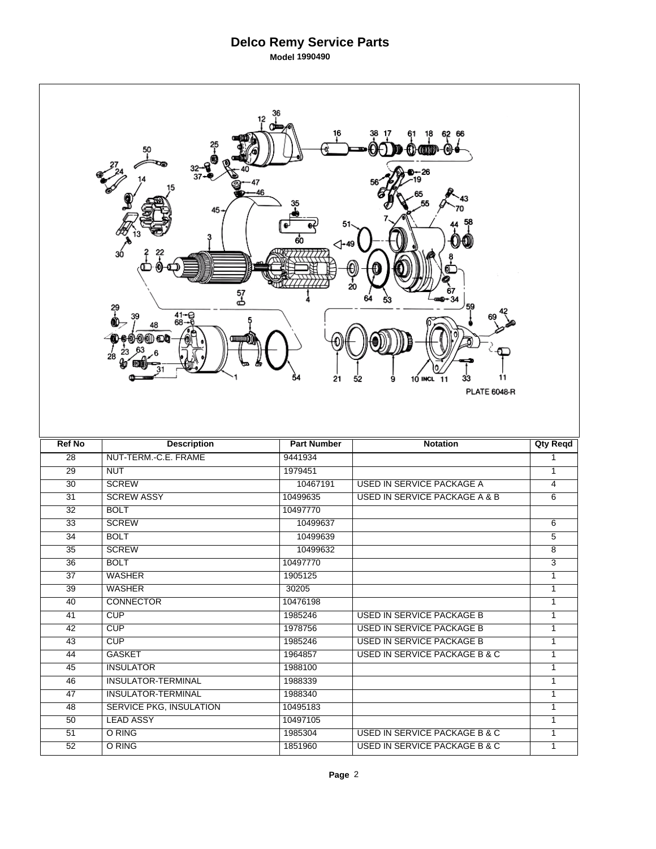## **Delco Remy Service Parts Model 1990490**

| 12<br>16<br>62<br>66<br>50<br>45<br>⊲-49<br>ЗÓ<br>20<br>57<br>ക<br>59<br>29<br>$41 - 68 - 6$<br>39<br>லை வெ<br>28<br>54<br>21<br>33<br>11<br>10 INCL 11<br>52<br>9<br><b>PLATE 6048-R</b> |                                |                    |                                                                           |                 |  |  |  |
|-------------------------------------------------------------------------------------------------------------------------------------------------------------------------------------------|--------------------------------|--------------------|---------------------------------------------------------------------------|-----------------|--|--|--|
| <b>Ref No</b>                                                                                                                                                                             | <b>Description</b>             | <b>Part Number</b> | <b>Notation</b>                                                           | <b>Qty Reqd</b> |  |  |  |
| $\overline{28}$                                                                                                                                                                           | NUT-TERM.-C.E. FRAME           | 9441934            |                                                                           | $\mathbf{1}$    |  |  |  |
| $\overline{29}$                                                                                                                                                                           | <b>NUT</b>                     | 1979451            |                                                                           | $\mathbf{1}$    |  |  |  |
| $\overline{30}$                                                                                                                                                                           | <b>SCREW</b>                   | 10467191           | <b>USED IN SERVICE PACKAGE A</b>                                          | 4               |  |  |  |
| $\overline{31}$                                                                                                                                                                           | <b>SCREW ASSY</b>              | 10499635           | <b>USED IN SERVICE PACKAGE A &amp; B</b>                                  | 6               |  |  |  |
| 32                                                                                                                                                                                        | <b>BOLT</b>                    | 10497770           |                                                                           |                 |  |  |  |
| $\overline{33}$                                                                                                                                                                           | <b>SCREW</b>                   | 10499637           |                                                                           |                 |  |  |  |
| $\overline{34}$                                                                                                                                                                           | <b>BOLT</b>                    | 10499639           |                                                                           | 6               |  |  |  |
| 35                                                                                                                                                                                        |                                |                    |                                                                           | 5               |  |  |  |
| $\overline{36}$                                                                                                                                                                           | <b>SCREW</b>                   | 10499632           |                                                                           | 8               |  |  |  |
| $\overline{37}$                                                                                                                                                                           | <b>BOLT</b>                    | 10497770           |                                                                           | 3               |  |  |  |
| 39                                                                                                                                                                                        | <b>WASHER</b>                  | 1905125            |                                                                           | $\mathbf{1}$    |  |  |  |
|                                                                                                                                                                                           | <b>WASHER</b>                  | 30205              |                                                                           | 1               |  |  |  |
| 40                                                                                                                                                                                        | <b>CONNECTOR</b>               | 10476198           |                                                                           | $\overline{1}$  |  |  |  |
| 41                                                                                                                                                                                        | CUP                            | 1985246            | <b>USED IN SERVICE PACKAGE B</b>                                          | $\overline{1}$  |  |  |  |
| 42                                                                                                                                                                                        | CUP                            | 1978756            | <b>USED IN SERVICE PACKAGE B</b>                                          | $\overline{1}$  |  |  |  |
| $\overline{43}$                                                                                                                                                                           | CUP                            | 1985246            | <b>USED IN SERVICE PACKAGE B</b>                                          | $\mathbf{1}$    |  |  |  |
| 44                                                                                                                                                                                        | <b>GASKET</b>                  | 1964857            | USED IN SERVICE PACKAGE B & C                                             | $\mathbf{1}$    |  |  |  |
| 45                                                                                                                                                                                        | <b>INSULATOR</b>               | 1988100            |                                                                           | $\mathbf{1}$    |  |  |  |
| 46                                                                                                                                                                                        | <b>INSULATOR-TERMINAL</b>      | 1988339            |                                                                           | $\mathbf{1}$    |  |  |  |
| 47                                                                                                                                                                                        | <b>INSULATOR-TERMINAL</b>      | 1988340            |                                                                           | $\mathbf{1}$    |  |  |  |
| 48                                                                                                                                                                                        | <b>SERVICE PKG, INSULATION</b> | 10495183           |                                                                           | $\mathbf{1}$    |  |  |  |
| 50                                                                                                                                                                                        | <b>LEAD ASSY</b>               | 10497105           |                                                                           | $\mathbf{1}$    |  |  |  |
| 51<br>52                                                                                                                                                                                  | O RING<br>O RING               | 1985304<br>1851960 | USED IN SERVICE PACKAGE B & C<br><b>USED IN SERVICE PACKAGE B &amp; C</b> | $\mathbf{1}$    |  |  |  |